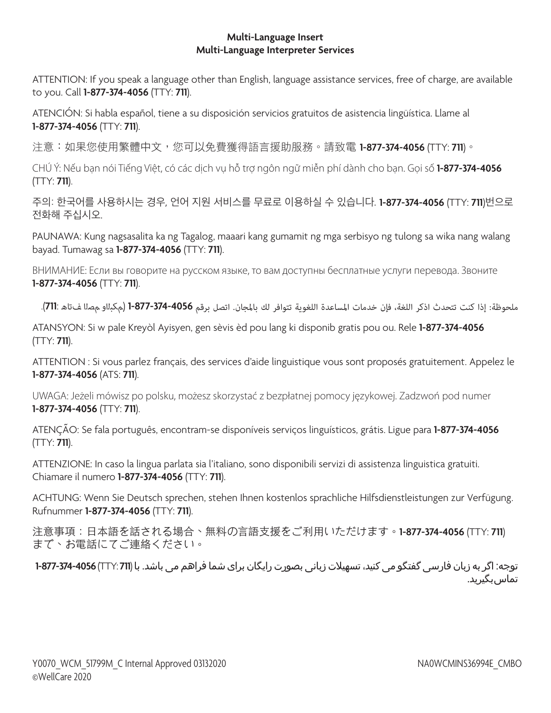## **Multi-Language Insert Multi-Language Interpreter Services**

ATTENTION: If you speak a language other than English, language assistance services, free of charge, are available to you. Call **1-877-374-4056** (TTY: **711**).

ATENCIÓN: Si habla español, tiene a su disposición servicios gratuitos de asistencia lingüística. Llame al **1-877-374-4056** (TTY: **711**).

注意:如果您使用繁體中文,您可以免費獲得語言援助服務。請致電 **1-877-374-4056** (TTY: **711**)。

CHÚ Ý: Nếu bạn nói Tiếng Việt, có các dịch vụ hỗ trợ ngôn ngữ miễn phí dành cho bạn. Gọi số **1-877-374-4056** (TTY: **711**).

주의: 한국어를 사용하시는 경우, 언어 지원 서비스를 무료로 이용하실 수 있습니다. **1-877-374-4056** (TTY: **711**)번으로 전화해 주십시오.

PAUNAWA: Kung nagsasalita ka ng Tagalog, maaari kang gumamit ng mga serbisyo ng tulong sa wika nang walang bayad. Tumawag sa **1-877-374-4056** (TTY: **711**).

ВНИМАНИЕ: Если вы говорите на русском языке, то вам доступны бесплатные услуги перевода. Звоните **1-877-374-4056** (TTY: **711**).

ملحوظة: إذا كنت تتحدث اذكر اللغة، فإن خدمات املساعدة اللغوية تتوافر لك باملجان. اتصل برقم **1-877-374-4056** (مكبلاو مصلا فتاه **711**:).

ATANSYON: Si w pale Kreyòl Ayisyen, gen sèvis èd pou lang ki disponib gratis pou ou. Rele **1-877-374-4056** (TTY: **711**).

ATTENTION : Si vous parlez français, des services d'aide linguistique vous sont proposés gratuitement. Appelez le **1-877-374-4056** (ATS: **711**).

UWAGA: Jeżeli mówisz po polsku, możesz skorzystać z bezpłatnej pomocy językowej. Zadzwoń pod numer **1-877-374-4056** (TTY: **711**).

ATENÇÃO: Se fala português, encontram-se disponíveis serviços linguísticos, grátis. Ligue para **1-877-374-4056** (TTY: **711**).

ATTENZIONE: In caso la lingua parlata sia l'italiano, sono disponibili servizi di assistenza linguistica gratuiti. Chiamare il numero **1-877-374-4056** (TTY: **711**).

ACHTUNG: Wenn Sie Deutsch sprechen, stehen Ihnen kostenlos sprachliche Hilfsdienstleistungen zur Verfügung. Rufnummer **1-877-374-4056** (TTY: **711**).

注意事項:日本語を話される場合、無料の言語支援をご利用いただけます。**1-877-374-4056** (TTY: **711**) まで、お電話にてご連絡ください。

توجه: اگر به زبان فارسی گفتگو می کنید، تسهیالت زبانی بصورت رایگان برای شما فراهم می باشد. با (**711** :TTY (**1-877-374-4056** تماس بگیرید.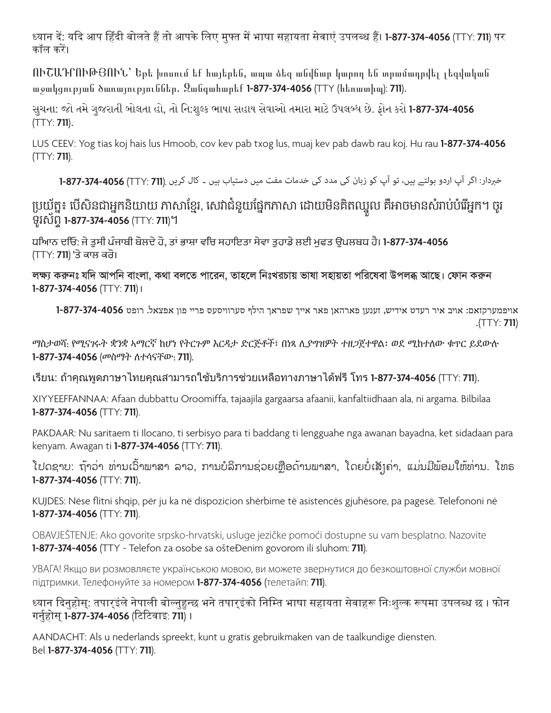ध्यान दें: यदि आप हिंदी बोलते हैं तो आपके लिए मुफ्त में भाषा सहायता सेवाएं उपलब्ध हैं। **1-877-374-4056** (TTY: **711**) पर कॉल करें।

ՈՒՇԱԴՐՈՒԹՅՈՒՆ՝ Եթե խոսում եք հայերեն, ապա ձեզ անվճար կարող են տրամադրվել լեզվական աջակցության ծառայություններ. Զանգահարեք **1-877-374-4056** (TTY (հեռատիպ): **711**).

સુચના: જો તમે ગુજરાતી બોલતા હો, તો નિ:શુલ્ક ભાષા સહાય સેવાઓ તમારા માટે ઉપલબ્ધ છે. ફોન કરો **1-877-374-4056** (TTY: **711**).

LUS CEEV: Yog tias koj hais lus Hmoob, cov kev pab txog lus, muaj kev pab dawb rau koj. Hu rau **1-877-374-4056** (TTY: **711**).

خربدار: اگر آپ اردو بولتے ہیں، تو آپ کو زبان کی مدد کی خدمات مفت میں دستیاب ہیں ۔ کال کریں .(**711** :TTY(**1-877-374-4056**

## ប្រយុត្ន៖ បេសនជាអ្នកនយាយ ភាសាខ្មេរ, សេវាជំនួយផ្នេកភាសា ដោយមនគតឈ្នួល គអាចមានសំរាបបរេអ្នក។ ចូរ ទូរស័ព្ទ **1-877-374-4056** (TTY: **711**)។

ਧਿਆਨ ਦਿਓ: ਜੇ ਤੁਸੀਂ ਪੰਜਾਬੀ ਬੋਲਦੇ ਹੋ, ਤਾਂ ਭਾਸ਼ਾ ਵਿੱਚ ਸਹਾਇਤਾ ਸੇਵਾ ਤੁਹਾਡੇ ਲਈ ਮੁਫਤ ਉਪਲਬਧ ਹੈ। **1-877-374-4056** (TTY: **711**) 'ਤੇ ਕਾਲ ਕਰੋ।

**লক্ষ্য করুনঃ যদি আপনি বাংলা, কথা বলতে পারেন, তাহলে নিঃখরচায় ভাষা সহায়তা পরিষেবা উপলব্ধ আছে। ফ�োন করুন 1-877-374-4056** (TTY: **711**)**।**

אויפמערקזאם: אויב איר רעדט אידיש, זענען פארהאן פאר אייך שפראך הילף סערוויסעס פריי פון אפצאל. רופט **1-877-374-4056** .(TTY: **711**)

ማስታወሻ: የሚናገሩት ቋንቋ ኣማርኛ ከሆነ የትርጉም እርዳታ ድርጅቶች፣ በነጻ ሊያግዝዎት ተዘጋጀተዋል፡ ወደ ሚከተለው ቁጥር ይደውሉ **1-877-374-4056** (መስማት ለተሳናቸው: **711**).

เรียน: ถ้าคุณพูดภาษาไทยคุณสามารถใช้บริการช่วยเหลือทางภาษาได้ฟรี โทร **1-877-374-4056** (TTY: **711**).

XIYYEEFFANNAA: Afaan dubbattu Oroomiffa, tajaajila gargaarsa afaanii, kanfaltiidhaan ala, ni argama. Bilbilaa **1-877-374-4056** (TTY: **711**).

PAKDAAR: Nu saritaem ti Ilocano, ti serbisyo para ti baddang ti lengguahe nga awanan bayadna, ket sidadaan para kenyam. Awagan ti **1-877-374-4056** (TTY: **711**).

ໂປດຊາບ: ຖາວາ ທານເວົາພາສາ ລາວ, ການບໍລິການຊວຍເຫຼືອດານພາສາ, ໂດຍບໍ່ເສັງຄາ, ແມນມີພອມໃຫທານ. ໂທຣ **1-877-374-4056** (TTY: **711**).

KUJDES: Nëse flitni shqip, për ju ka në dispozicion shërbime të asistencës gjuhësore, pa pagesë. Telefononi në **1-877-374-4056** (TTY: **711**).

OBAVJEŠTENJE: Ako govorite srpsko-hrvatski, usluge jezičke pomoći dostupne su vam besplatno. Nazovite **1-877-374-4056** (TTY - Telefon za osobe sa ošteĐenim govorom ili sluhom: 711).

УВАГА! Якщо ви розмовляєте українською мовою, ви можете звернутися до безкоштовної служби мовної підтримки. Телефонуйте за номером **1-877-374-4056** (телетайп: **711**).

ध्यान दिनुहोस्: तपार्इंले नेपाली बोल्नुहुन्छ भने तपार्इंको निम्ति भाषा सहायता सेवाहरू निःशुल्क रूपमा उपलब्ध छ । फोन गर्नुहोस् **1-877-374-4056** (टिटिवाइ: **711**) ।

AANDACHT: Als u nederlands spreekt, kunt u gratis gebruikmaken van de taalkundige diensten. Bel **1-877-374-4056** (TTY: **711**).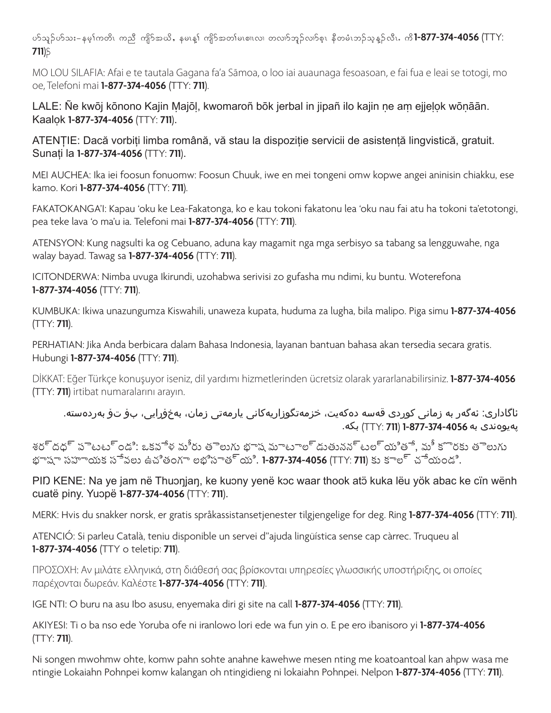ymol.ymo;= erh>uwdRAunD AusdmtCd<AerRM>Ausdmtw>rRpXRvXAwvXmbl.vXmphRAeDwrHRb.ohM. vDRIAud **1-877-374-4056** (TTY: **711**).

MO LOU SILAFIA: Afai e te tautala Gagana fa'a Sāmoa, o loo iai auaunaga fesoasoan, e fai fua e leai se totogi, mo oe, Telefoni mai **1-877-374-4056** (TTY: **711**).

LALE: Ñe kwōj kōnono Kajin Ṃajōḷ, kwomaroñ bōk jerbal in jipañ ilo kajin ṇe aṃ ejjeḷọk wōṇāān. Kaalọk **1-877-374-4056** (TTY: **711**).

ATENȚIE: Dacă vorbiți limba română, vă stau la dispoziție servicii de asistență lingvistică, gratuit. Sunați la **1-877-374-4056** (TTY: **711**).

MEI AUCHEA: Ika iei foosun fonuomw: Foosun Chuuk, iwe en mei tongeni omw kopwe angei aninisin chiakku, ese kamo. Kori **1-877-374-4056** (TTY: **711**).

FAKATOKANGA'I: Kapau 'oku ke Lea-Fakatonga, ko e kau tokoni fakatonu lea 'oku nau fai atu ha tokoni ta'etotongi, pea teke lava 'o ma'u ia. Telefoni mai **1-877-374-4056** (TTY: **711**).

ATENSYON: Kung nagsulti ka og Cebuano, aduna kay magamit nga mga serbisyo sa tabang sa lengguwahe, nga walay bayad. Tawag sa **1-877-374-4056** (TTY: **711**).

ICITONDERWA: Nimba uvuga Ikirundi, uzohabwa serivisi zo gufasha mu ndimi, ku buntu. Woterefona **1-877-374-4056** (TTY: **711**).

KUMBUKA: Ikiwa unazungumza Kiswahili, unaweza kupata, huduma za lugha, bila malipo. Piga simu **1-877-374-4056** (TTY: **711**).

PERHATIAN: Jika Anda berbicara dalam Bahasa Indonesia, layanan bantuan bahasa akan tersedia secara gratis. Hubungi **1-877-374-4056** (TTY: **711**).

DİKKAT: Eğer Türkçe konuşuyor iseniz, dil yardımı hizmetlerinden ücretsiz olarak yararlanabilirsiniz. **1-877-374-4056** (TTY: **711**) irtibat numaralarını arayın.

ئاگاداری: ئەگەر بە زمانی کوردی قەسە دەکەیت، خزمەتگوزاریەکانی یارمەتی زمان، بەخۆڕایی، بۆ تۆ بەردەستە. پەیوەندی بە بکە. (TTY: **711**) **1-877-374-4056**

శర్దద్ పెటట్ండి: ఒకవేళ మీరు తెలుగు బాష మాటాల్డుతునన్టల్యితే. మీ కొరకు తెలుగు భాషా సహాయక సేవలు ఉచితంగా లభిస్తాయి. **1-877-374-4056** (TTY: **711**) కు కాల్ చేయండి.

PID KENE: Na ye jam në Thuonjan, ke kuony yenë koc waar thook atö kuka lëu yök abac ke cïn wënh cuatë piny. Yuɔpë **1-877-374-4056** (TTY: **711**).

MERK: Hvis du snakker norsk, er gratis språkassistansetjenester tilgjengelige for deg. Ring **1-877-374-4056** (TTY: **711**).

ATENCIÓ: Si parleu Català, teniu disponible un servei d"ajuda lingüística sense cap càrrec. Truqueu al **1-877-374-4056** (TTY o teletip: **711**).

ΠΡΟΣΟΧΗ: Αν μιλάτε ελληνικά, στη διάθεσή σας βρίσκονται υπηρεσίες γλωσσικής υποστήριξης, οι οποίες παρέχονται δωρεάν. Καλέστε **1-877-374-4056** (TTY: **711**).

IGE NTI: O buru na asu Ibo asusu, enyemaka diri gi site na call **1-877-374-4056** (TTY: **711**).

AKIYESI: Ti o ba nso ede Yoruba ofe ni iranlowo lori ede wa fun yin o. E pe ero ibanisoro yi **1-877-374-4056** (TTY: **711**).

Ni songen mwohmw ohte, komw pahn sohte anahne kawehwe mesen nting me koatoantoal kan ahpw wasa me ntingie Lokaiahn Pohnpei komw kalangan oh ntingidieng ni lokaiahn Pohnpei. Nelpon **1-877-374-4056** (TTY: **711**).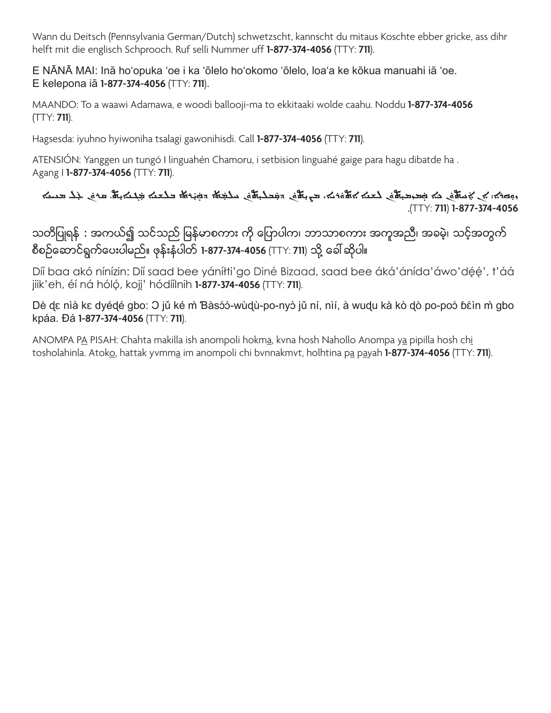Wann du Deitsch (Pennsylvania German/Dutch) schwetzscht, kannscht du mitaus Koschte ebber gricke, ass dihr helft mit die englisch Schprooch. Ruf selli Nummer uff **1-877-374-4056** (TTY: **711**).

E NĀNĀ MAI: Inā hoʻopuka ʻoe i ka ʻōlelo hoʻokomo ʻōlelo, loaʻa ke kōkua manuahi iā ʻoe. E kelepona iā **1-877-374-4056** (TTY: **711**).

MAANDO: To a waawi Adamawa, e woodi ballooji-ma to ekkitaaki wolde caahu. Noddu **1-877-374-4056** (TTY: **711**).

Hagsesda: iyuhno hyiwoniha tsalagi gawonihisdi. Call **1-877-374-4056** (TTY: **711**).

ATENSIÓN: Yanggen un tungó I linguahén Chamoru, i setbision linguahé gaige para hagu dibatde ha . Agang I **1-877-374-4056** (TTY: **711**).

## المسه جُماهَا في جُماها من الله عنه المسلم المسلم المسلم المسلم المسلم المسلم المسلم المسلم المسلم المسلم المسلم ܲܲܲ ܲܲܲܲ.(TTY: **711**) **1-877-374-4056**

သတိပြုရန် : အကယ်၍ သင်သည် မြန်မာစကား ကို ပြောပါက၊ ဘာသာစကား အကူအညီ၊ အခမဲ့၊ သင့်အတွက် စီစဉ်ဆောင်ရွက်ပေးပါမည်။ ဖုန်းနံပါတ် **1-877-374-4056** (TTY: **711**) သို့ ခေါ် ဆိုပါ။

Díí baa akó nínízin: Díí saad bee yáníłti'go Diné Bizaad, saad bee áká'ánída'áwo'déé', t'áá jiik'eh, éí ná hóló, kojj' hódíílnih **1-877-374-4056** (TTY: **711**).

Dè dɛ nìà kɛ dyédé gbo: O jǔ ké m̀ Bàsɔ́ɔ̀-wùd̥ù-po-nyɔ̀ jǔ ní, nìí, à wudu kà kò dò po-poɔ̀ bɛ́in m̀ gbo kpáa. Ɖá **1-877-374-4056** (TTY: **711**).

ANOMPA PA PISAH: Chahta makilla ish anompoli hokma, kvna hosh Nahollo Anompa ya pipilla hosh chi tosholahinla. Atoko, hattak yvmma im anompoli chi bvnnakmvt, holhtina pa payah **1-877-374-4056** (TTY: **711**).